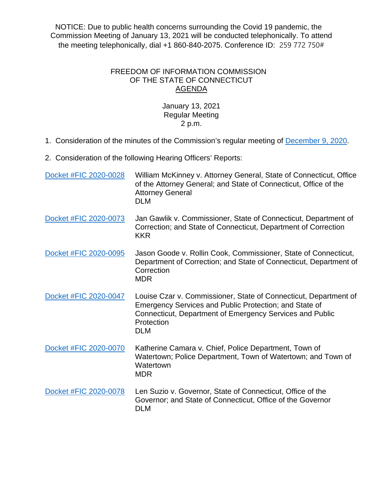NOTICE: Due to public health concerns surrounding the Covid 19 pandemic, the Commission Meeting of January 13, 2021 will be conducted telephonically. To attend the meeting telephonically, dial +1 860-840-2075. Conference ID: 259 772 750#

## FREEDOM OF INFORMATION COMMISSION OF THE STATE OF CONNECTICUT AGENDA

## January 13, 2021 Regular Meeting 2 p.m.

- 1. Consideration of the minutes of the Commission's regular meeting of [December 9, 2020.](https://portal.ct.gov/-/media/FOI/Minutes/2020/FOICMinutes-12-09-2020.pdf)
- 2. Consideration of the following Hearing Officers' Reports:

| Docket #FIC 2020-0028 | William McKinney v. Attorney General, State of Connecticut, Office<br>of the Attorney General; and State of Connecticut, Office of the<br><b>Attorney General</b><br><b>DLM</b>                                    |
|-----------------------|--------------------------------------------------------------------------------------------------------------------------------------------------------------------------------------------------------------------|
| Docket #FIC 2020-0073 | Jan Gawlik v. Commissioner, State of Connecticut, Department of<br>Correction; and State of Connecticut, Department of Correction<br><b>KKR</b>                                                                    |
| Docket #FIC 2020-0095 | Jason Goode v. Rollin Cook, Commissioner, State of Connecticut,<br>Department of Correction; and State of Connecticut, Department of<br>Correction<br><b>MDR</b>                                                   |
| Docket #FIC 2020-0047 | Louise Czar v. Commissioner, State of Connecticut, Department of<br>Emergency Services and Public Protection; and State of<br>Connecticut, Department of Emergency Services and Public<br>Protection<br><b>DLM</b> |
| Docket #FIC 2020-0070 | Katherine Camara v. Chief, Police Department, Town of<br>Watertown; Police Department, Town of Watertown; and Town of<br>Watertown<br><b>MDR</b>                                                                   |
| Docket #FIC 2020-0078 | Len Suzio v. Governor, State of Connecticut, Office of the<br>Governor; and State of Connecticut, Office of the Governor<br><b>DLM</b>                                                                             |